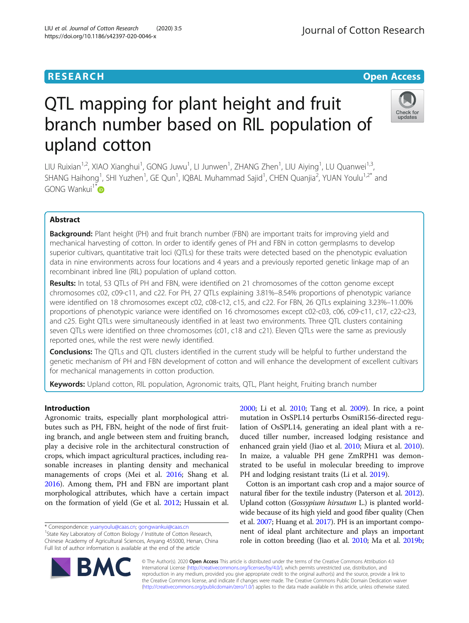# QTL mapping for plant height and fruit branch number based on RIL population of upland cotton

LIU Ruixian<sup>1,2</sup>, XIAO Xianghui<sup>1</sup>, GONG Juwu<sup>1</sup>, LI Junwen<sup>1</sup>, ZHANG Zhen<sup>1</sup>, LIU Aiying<sup>1</sup>, LU Quanwei<sup>1,3</sup>, SHANG Haihong<sup>1</sup>, SHI Yuzhen<sup>1</sup>, GE Qun<sup>1</sup>, IQBAL Muhammad Sajid<sup>1</sup>, CHEN Quanjia<sup>2</sup>, YUAN Youlu<sup>1,2\*</sup> and  $GONG Wankui$ <sup>1\*</sup>

# Abstract

**Background:** Plant height (PH) and fruit branch number (FBN) are important traits for improving yield and mechanical harvesting of cotton. In order to identify genes of PH and FBN in cotton germplasms to develop superior cultivars, quantitative trait loci (QTLs) for these traits were detected based on the phenotypic evaluation data in nine environments across four locations and 4 years and a previously reported genetic linkage map of an recombinant inbred line (RIL) population of upland cotton.

Results: In total, 53 QTLs of PH and FBN, were identified on 21 chromosomes of the cotton genome except chromosomes c02, c09-c11, and c22. For PH, 27 QTLs explaining 3.81%–8.54% proportions of phenotypic variance were identified on 18 chromosomes except c02, c08-c12, c15, and c22. For FBN, 26 QTLs explaining 3.23%–11.00% proportions of phenotypic variance were identified on 16 chromosomes except c02-c03, c06, c09-c11, c17, c22-c23, and c25. Eight QTLs were simultaneously identified in at least two environments. Three QTL clusters containing seven QTLs were identified on three chromosomes (c01, c18 and c21). Eleven QTLs were the same as previously reported ones, while the rest were newly identified.

Conclusions: The QTLs and QTL clusters identified in the current study will be helpful to further understand the genetic mechanism of PH and FBN development of cotton and will enhance the development of excellent cultivars for mechanical managements in cotton production.

Keywords: Upland cotton, RIL population, Agronomic traits, QTL, Plant height, Fruiting branch number

# Introduction

Agronomic traits, especially plant morphological attributes such as PH, FBN, height of the node of first fruiting branch, and angle between stem and fruiting branch, play a decisive role in the architectural construction of crops, which impact agricultural practices, including reasonable increases in planting density and mechanical managements of crops (Mei et al. [2016;](#page-8-0) Shang et al. [2016](#page-8-0)). Among them, PH and FBN are important plant morphological attributes, which have a certain impact on the formation of yield (Ge et al. [2012;](#page-7-0) Hussain et al.

\* Correspondence: [yuanyoulu@caas.cn](mailto:yuanyoulu@caas.cn); [gongwankui@caas.cn](mailto:gongwankui@caas.cn) <sup>1</sup>

BA

<sup>1</sup>State Key Laboratory of Cotton Biology / Institute of Cotton Research, Chinese Academy of Agricultural Sciences, Anyang 455000, Henan, China Full list of author information is available at the end of the article

> © The Author(s). 2020 **Open Access** This article is distributed under the terms of the Creative Commons Attribution 4.0 International License [\(http://creativecommons.org/licenses/by/4.0/](http://creativecommons.org/licenses/by/4.0/)), which permits unrestricted use, distribution, and reproduction in any medium, provided you give appropriate credit to the original author(s) and the source, provide a link to the Creative Commons license, and indicate if changes were made. The Creative Commons Public Domain Dedication waiver [\(http://creativecommons.org/publicdomain/zero/1.0/](http://creativecommons.org/publicdomain/zero/1.0/)) applies to the data made available in this article, unless otherwise stated.

[2000](#page-7-0); Li et al. [2010;](#page-7-0) Tang et al. [2009](#page-8-0)). In rice, a point mutation in OsSPL14 perturbs OsmiR156-directed regulation of OsSPL14, generating an ideal plant with a reduced tiller number, increased lodging resistance and enhanced grain yield (Jiao et al. [2010](#page-7-0); Miura et al. [2010](#page-8-0)). In maize, a valuable PH gene ZmRPH1 was demonstrated to be useful in molecular breeding to improve PH and lodging resistant traits (Li et al. [2019](#page-8-0)).

Cotton is an important cash crop and a major source of natural fiber for the textile industry (Paterson et al. [2012](#page-8-0)). Upland cotton (Gossypium hirsutum L.) is planted worldwide because of its high yield and good fiber quality (Chen et al. [2007](#page-7-0); Huang et al. [2017](#page-7-0)). PH is an important component of ideal plant architecture and plays an important role in cotton breeding (Jiao et al. [2010](#page-7-0); Ma et al. [2019b](#page-8-0);



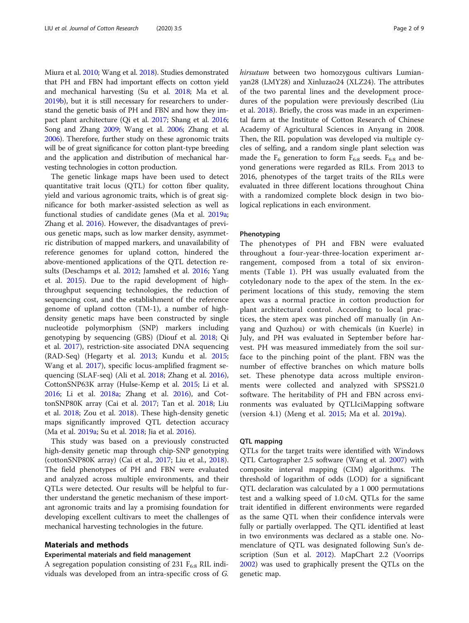Miura et al. [2010](#page-8-0); Wang et al. [2018](#page-8-0)). Studies demonstrated that PH and FBN had important effects on cotton yield and mechanical harvesting (Su et al. [2018](#page-8-0); Ma et al. [2019b](#page-8-0)), but it is still necessary for researchers to understand the genetic basis of PH and FBN and how they impact plant architecture (Qi et al. [2017;](#page-8-0) Shang et al. [2016](#page-8-0); Song and Zhang [2009;](#page-8-0) Wang et al. [2006;](#page-8-0) Zhang et al. [2006\)](#page-8-0). Therefore, further study on these agronomic traits will be of great significance for cotton plant-type breeding and the application and distribution of mechanical harvesting technologies in cotton production.

The genetic linkage maps have been used to detect quantitative trait locus (QTL) for cotton fiber quality, yield and various agronomic traits, which is of great significance for both marker-assisted selection as well as functional studies of candidate genes (Ma et al. [2019a](#page-8-0); Zhang et al. [2016](#page-8-0)). However, the disadvantages of previous genetic maps, such as low marker density, asymmetric distribution of mapped markers, and unavailability of reference genomes for upland cotton, hindered the above-mentioned applications of the QTL detection results (Deschamps et al. [2012](#page-7-0); Jamshed et al. [2016](#page-7-0); Yang et al. [2015](#page-8-0)). Due to the rapid development of highthroughput sequencing technologies, the reduction of sequencing cost, and the establishment of the reference genome of upland cotton (TM-1), a number of highdensity genetic maps have been constructed by single nucleotide polymorphism (SNP) markers including genotyping by sequencing (GBS) (Diouf et al. [2018;](#page-7-0) Qi et al. [2017](#page-8-0)), restriction-site associated DNA sequencing (RAD-Seq) (Hegarty et al. [2013;](#page-7-0) Kundu et al. [2015](#page-7-0); Wang et al. [2017\)](#page-8-0), specific locus-amplified fragment sequencing (SLAF-seq) (Ali et al. [2018;](#page-7-0) Zhang et al. [2016](#page-8-0)), CottonSNP63K array (Hulse-Kemp et al. [2015](#page-7-0); Li et al. [2016](#page-7-0); Li et al. [2018a](#page-8-0); Zhang et al. [2016\)](#page-8-0), and CottonSNP80K array (Cai et al. [2017](#page-7-0); Tan et al. [2018;](#page-8-0) Liu et al. [2018](#page-8-0); Zou et al. [2018](#page-8-0)). These high-density genetic maps significantly improved QTL detection accuracy (Ma et al. [2019a;](#page-8-0) Su et al. [2018](#page-8-0); Jia et al. [2016\)](#page-7-0).

This study was based on a previously constructed high-density genetic map through chip-SNP genotyping (cottonSNP80K array) (Cai et al., [2017](#page-7-0); Liu et al., [2018](#page-8-0)). The field phenotypes of PH and FBN were evaluated and analyzed across multiple environments, and their QTLs were detected. Our results will be helpful to further understand the genetic mechanism of these important agronomic traits and lay a promising foundation for developing excellent cultivars to meet the challenges of mechanical harvesting technologies in the future.

#### Materials and methods

# Experimental materials and field management

A segregation population consisting of 231  $F_{6:8}$  RIL individuals was developed from an intra-specific cross of G. hirsutum between two homozygous cultivars Lumianyan28 (LMY28) and Xinluzao24 (XLZ24). The attributes of the two parental lines and the development procedures of the population were previously described (Liu et al. [2018\)](#page-8-0). Briefly, the cross was made in an experimental farm at the Institute of Cotton Research of Chinese Academy of Agricultural Sciences in Anyang in 2008. Then, the RIL population was developed via multiple cycles of selfing, and a random single plant selection was made the  $F_6$  generation to form  $F_{6:8}$  seeds.  $F_{6:8}$  and beyond generations were regarded as RILs. From 2013 to 2016, phenotypes of the target traits of the RILs were evaluated in three different locations throughout China with a randomized complete block design in two biological replications in each environment.

#### Phenotyping

The phenotypes of PH and FBN were evaluated throughout a four-year-three-location experiment arrangement, composed from a total of six environments (Table [1](#page-2-0)). PH was usually evaluated from the cotyledonary node to the apex of the stem. In the experiment locations of this study, removing the stem apex was a normal practice in cotton production for plant architectural control. According to local practices, the stem apex was pinched off manually (in Anyang and Quzhou) or with chemicals (in Kuerle) in July, and PH was evaluated in September before harvest. PH was measured immediately from the soil surface to the pinching point of the plant. FBN was the number of effective branches on which mature bolls set. These phenotype data across multiple environments were collected and analyzed with SPSS21.0 software. The heritability of PH and FBN across environments was evaluated by QTLIciMapping software (version 4.1) (Meng et al. [2015](#page-8-0); Ma et al. [2019a\)](#page-8-0).

#### QTL mapping

QTLs for the target traits were identified with Windows QTL Cartographer 2.5 software (Wang et al. [2007\)](#page-8-0) with composite interval mapping (CIM) algorithms. The threshold of logarithm of odds (LOD) for a significant QTL declaration was calculated by a 1 000 permutations test and a walking speed of 1.0 cM. QTLs for the same trait identified in different environments were regarded as the same QTL when their confidence intervals were fully or partially overlapped. The QTL identified at least in two environments was declared as a stable one. Nomenclature of QTL was designated following Sun's description (Sun et al. [2012](#page-8-0)). MapChart 2.2 (Voorrips [2002](#page-8-0)) was used to graphically present the QTLs on the genetic map.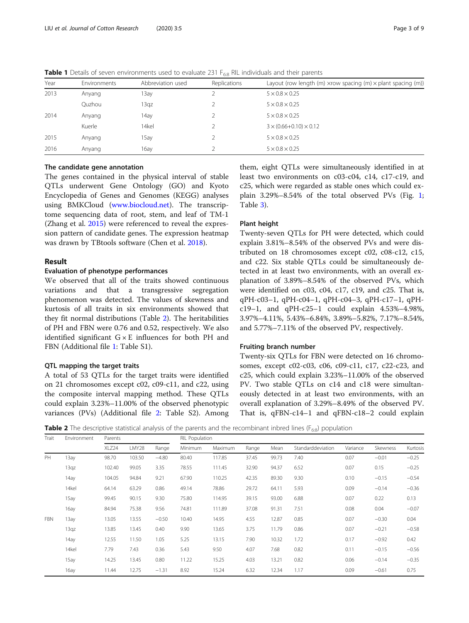| Year | Environments | Abbreviation used | Replications | Layout (row length (m) xrow spacing (m) x plant spacing (m)) |
|------|--------------|-------------------|--------------|--------------------------------------------------------------|
| 2013 | Anyang       | 13ay              |              | $5 \times 0.8 \times 0.25$                                   |
|      | Quzhou       | 13qz              |              | $5 \times 0.8 \times 0.25$                                   |
| 2014 | Anyang       | 14ay              |              | $5 \times 0.8 \times 0.25$                                   |
|      | Kuerle       | 14kel             |              | $3 \times (0.66 + 0.10) \times 0.12$                         |
| 2015 | Anyang       | 15ay              |              | $5 \times 0.8 \times 0.25$                                   |
| 2016 | Anyang       | 16ay              |              | $5 \times 0.8 \times 0.25$                                   |
|      |              |                   |              |                                                              |

<span id="page-2-0"></span>Table 1 Details of seven environments used to evaluate 231 F<sub>6:8</sub> RIL individuals and their parents

#### The candidate gene annotation

The genes contained in the physical interval of stable QTLs underwent Gene Ontology (GO) and Kyoto Encyclopedia of Genes and Genomes (KEGG) analyses using BMKCloud ([www.biocloud.net](http://www.biocloud.net)). The transcriptome sequencing data of root, stem, and leaf of TM-1 (Zhang et al. [2015\)](#page-8-0) were referenced to reveal the expression pattern of candidate genes. The expression heatmap was drawn by TBtools software (Chen et al. [2018\)](#page-7-0).

## Result

#### Evaluation of phenotype performances

We observed that all of the traits showed continuous variations and that a transgressive segregation phenomenon was detected. The values of skewness and kurtosis of all traits in six environments showed that they fit normal distributions (Table 2). The heritabilities of PH and FBN were 0.76 and 0.52, respectively. We also identified significant  $G \times E$  influences for both PH and FBN (Additional file [1:](#page-7-0) Table S1).

#### QTL mapping the target traits

A total of 53 QTLs for the target traits were identified on 21 chromosomes except c02, c09-c11, and c22, using the composite interval mapping method. These QTLs could explain 3.23%–11.00% of the observed phenotypic variances (PVs) (Additional file [2:](#page-7-0) Table S2). Among

them, eight QTLs were simultaneously identified in at least two environments on c03-c04, c14, c17-c19, and c25, which were regarded as stable ones which could explain  $3.29\% - 8.54\%$  of the total observed PVs (Fig. [1](#page-3-0); Table [3\)](#page-3-0).

#### Plant height

Twenty-seven QTLs for PH were detected, which could explain 3.81%–8.54% of the observed PVs and were distributed on 18 chromosomes except c02, c08-c12, c15, and c22. Six stable QTLs could be simultaneously detected in at least two environments, with an overall explanation of 3.89%–8.54% of the observed PVs, which were identified on c03, c04, c17, c19, and c25. That is, qPH-c03–1, qPH-c04–1, qPH-c04–3, qPH-c17–1, qPHc19–1, and qPH-c25–1 could explain 4.53%–4.98%, 3.97%–4.11%, 5.43%–6.84%, 3.89%–5.82%, 7.17%–8.54%, and 5.77%–7.11% of the observed PV, respectively.

#### Fruiting branch number

Twenty-six QTLs for FBN were detected on 16 chromosomes, except c02-c03, c06, c09-c11, c17, c22-c23, and c25, which could explain 3.23%–11.00% of the observed PV. Two stable QTLs on c14 and c18 were simultaneously detected in at least two environments, with an overall explanation of 3.29%–8.49% of the observed PV. That is, qFBN-c14–1 and qFBN-c18–2 could explain

**Table 2** The descriptive statistical analysis of the parents and the recombinant inbred lines ( $F_{6:8}$ ) population

| Trait      | Environment | Parents |        |         | <b>RIL Population</b> |                |       |       |                   |          |          |          |
|------------|-------------|---------|--------|---------|-----------------------|----------------|-------|-------|-------------------|----------|----------|----------|
|            |             | XLZ24   | LMY28  | Range   | Minimum               | <b>Maximum</b> | Range | Mean  | Standarddeviation | Variance | Skewness | Kurtosis |
| PH         | 13ay        | 98.70   | 103.50 | $-4.80$ | 80.40                 | 117.85         | 37.45 | 99.73 | 7.40              | 0.07     | $-0.01$  | $-0.25$  |
|            | 13qz        | 102.40  | 99.05  | 3.35    | 78.55                 | 111.45         | 32.90 | 94.37 | 6.52              | 0.07     | 0.15     | $-0.25$  |
|            | 14ay        | 104.05  | 94.84  | 9.21    | 67.90                 | 110.25         | 42.35 | 89.30 | 9.30              | 0.10     | $-0.15$  | $-0.54$  |
|            | 14kel       | 64.14   | 63.29  | 0.86    | 49.14                 | 78.86          | 29.72 | 64.11 | 5.93              | 0.09     | $-0.14$  | $-0.36$  |
|            | 15ay        | 99.45   | 90.15  | 9.30    | 75.80                 | 114.95         | 39.15 | 93.00 | 6.88              | 0.07     | 0.22     | 0.13     |
|            | 16ay        | 84.94   | 75.38  | 9.56    | 74.81                 | 111.89         | 37.08 | 91.31 | 7.51              | 0.08     | 0.04     | $-0.07$  |
| <b>FBN</b> | 13ay        | 13.05   | 13.55  | $-0.50$ | 10.40                 | 14.95          | 4.55  | 12.87 | 0.85              | 0.07     | $-0.30$  | 0.04     |
|            | 13qz        | 13.85   | 13.45  | 0.40    | 9.90                  | 13.65          | 3.75  | 11.79 | 0.86              | 0.07     | $-0.21$  | $-0.58$  |
|            | 14ay        | 12.55   | 11.50  | 1.05    | 5.25                  | 13.15          | 7.90  | 10.32 | 1.72              | 0.17     | $-0.92$  | 0.42     |
|            | 14kel       | 7.79    | 7.43   | 0.36    | 5.43                  | 9.50           | 4.07  | 7.68  | 0.82              | 0.11     | $-0.15$  | $-0.56$  |
|            | 15ay        | 14.25   | 13.45  | 0.80    | 11.22                 | 15.25          | 4.03  | 13.21 | 0.82              | 0.06     | $-0.14$  | $-0.35$  |
|            | 16ay        | 11.44   | 12.75  | $-1.31$ | 8.92                  | 15.24          | 6.32  | 12.34 | 1.17              | 0.09     | $-0.61$  | 0.75     |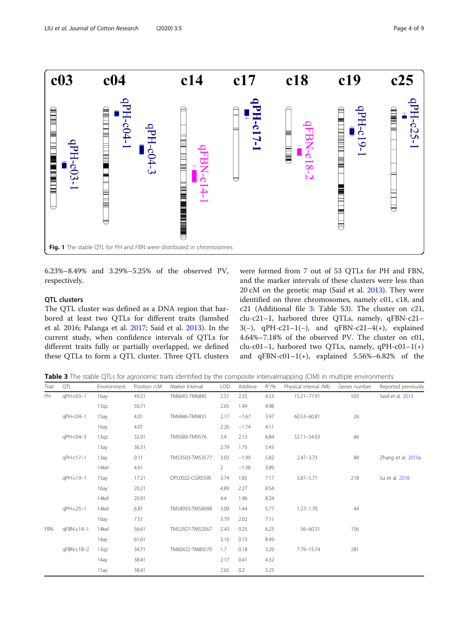<span id="page-3-0"></span>

6.23%–8.49% and 3.29%–5.25% of the observed PV, respectively.

#### QTL clusters

The QTL cluster was defined as a DNA region that harbored at least two QTLs for different traits (Jamshed et al. 2016; Palanga et al. [2017](#page-8-0); Said et al. [2013](#page-8-0)). In the current study, when confidence intervals of QTLs for different traits fully or partially overlapped, we defined these QTLs to form a QTL cluster. Three QTL clusters were formed from 7 out of 53 QTLs for PH and FBN, and the marker intervals of these clusters were less than 20 cM on the genetic map (Said et al. [2013\)](#page-8-0). They were identified on three chromosomes, namely c01, c18, and c21 (Additional file [3:](#page-7-0) Table S3). The cluster on c21, clu-c21–1, harbored three QTLs, namely, qFBN-c21– 3(−), qPH-c21–1(−), and qFBN-c21–4(+), explained 4.64%–7.18% of the observed PV. The cluster on c01, clu-c01–1, harbored two QTLs, namely, qPH-c01–1(+) and qFBN-c01-1(+), explained  $5.56\% - 6.82\%$  of the

Table 3 The stable QTLs for agronomic traits identified by the composite intervalmapping (CIM) in multiple environments

| Trait      | QTL        | Environment | Position /cM | Marker Interval | <b>LOD</b>     | Additive | $R^2/96$ | Physical interval /Mb | Genes number | Reported previously |
|------------|------------|-------------|--------------|-----------------|----------------|----------|----------|-----------------------|--------------|---------------------|
| PH         | qPH-c03-1  | 16ay        | 49.21        | TM6645-TM6845   | 2.51           | 2.35     | 4.53     | 15.21-77.91           | 503          | Said et al. 2013    |
|            |            | 13qz        | 50.71        |                 | 2.65           | 1.49     | 4.98     |                       |              |                     |
|            | qPH-c04-1  | 15ay        | 4.01         | TM9846-TM9831   | 2.17           | $-1.67$  | 3.97     | 60.53-60.81           | 26           |                     |
|            |            | 16ay        | 4.01         |                 | 2.26           | $-1.74$  | 4.11     |                       |              |                     |
|            | qPH-c04-3  | 13qz        | 32.91        | TM9589-TM9576   | 3.4            | 2.13     | 6.84     | 52.11-54.03           | 46           |                     |
|            |            | 13ay        | 36.31        |                 | 2.79           | 1.75     | 5.43     |                       |              |                     |
|            | qPH-c17-1  | 13ay        | 0.11         | TM53503-TM53577 | 3.03           | $-1.99$  | 5.82     | $2.47 - 3.73$         | 88           | Zhang et al. 2019a  |
|            |            | 14kel       | 4.61         |                 | $\overline{2}$ | $-1.38$  | 3.89     |                       |              |                     |
|            | qPH-c19-1  | 15ay        | 17.21        | DPL0022-CGR5590 | 3.74           | 1.85     | 7.17     | $3.87 - 5.71$         | 218          | Su et al. 2018      |
|            |            | 16ay        | 20.21        |                 | 4.89           | 2.27     | 8.54     |                       |              |                     |
|            |            | 14kel       | 20.91        |                 | 4.4            | 1.96     | 8.24     |                       |              |                     |
|            | qPH-c25-1  | 14kel       | 6.81         | TM58955-TM58998 | 3.09           | 1.44     | 5.77     | $1.27 - 1.70$         | 44           |                     |
|            |            | 16ay        | 7.51         |                 | 3.79           | 2.02     | 7.11     |                       |              |                     |
| <b>FBN</b> | qFBN-c14-1 | 14kel       | 56.61        | TM52927-TM52567 | 2.43           | 0.25     | 6.23     | 56-60.31              | 156          |                     |
|            |            | 14ay        | 61.61        |                 | 3.16           | 0.73     | 8.49     |                       |              |                     |
|            | qFBN-c18-2 | 13qz        | 34.71        | TM80422-TM80570 | 1.7            | 0.18     | 3.29     | 7.79-15.74            | 281          |                     |
|            |            | 14ay        | 38.41        |                 | 2.17           | 0.41     | 4.32     |                       |              |                     |
|            |            | 15ay        | 38.41        |                 | 2.65           | 0.2      | 5.25     |                       |              |                     |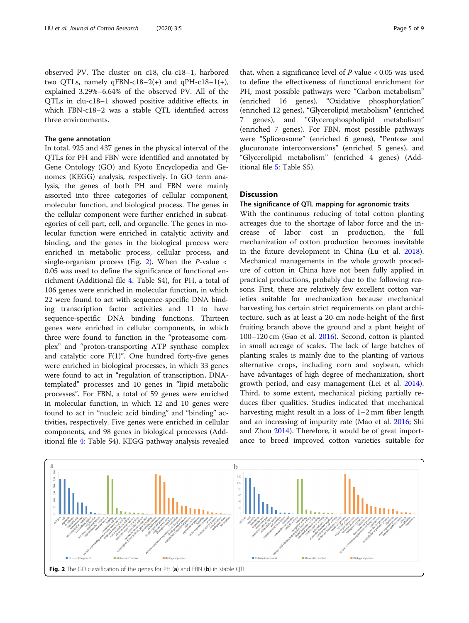observed PV. The cluster on c18, clu-c18–1, harbored two QTLs, namely qFBN-c18–2(+) and qPH-c18–1(+), explained 3.29%–6.64% of the observed PV. All of the QTLs in clu-c18–1 showed positive additive effects, in which FBN-c18–2 was a stable QTL identified across three environments.

#### The gene annotation

In total, 925 and 437 genes in the physical interval of the QTLs for PH and FBN were identified and annotated by Gene Ontology (GO) and Kyoto Encyclopedia and Genomes (KEGG) analysis, respectively. In GO term analysis, the genes of both PH and FBN were mainly assorted into three categories of cellular component, molecular function, and biological process. The genes in the cellular component were further enriched in subcategories of cell part, cell, and organelle. The genes in molecular function were enriched in catalytic activity and binding, and the genes in the biological process were enriched in metabolic process, cellular process, and single-organism process (Fig. 2). When the  $P$ -value < 0.05 was used to define the significance of functional enrichment (Additional file [4:](#page-7-0) Table S4), for PH, a total of 106 genes were enriched in molecular function, in which 22 were found to act with sequence-specific DNA binding transcription factor activities and 11 to have sequence-specific DNA binding functions. Thirteen genes were enriched in cellular components, in which three were found to function in the "proteasome complex" and "proton-transporting ATP synthase complex and catalytic core F(1)". One hundred forty-five genes were enriched in biological processes, in which 33 genes were found to act in "regulation of transcription, DNAtemplated" processes and 10 genes in "lipid metabolic processes". For FBN, a total of 59 genes were enriched in molecular function, in which 12 and 10 genes were found to act in "nucleic acid binding" and "binding" activities, respectively. Five genes were enriched in cellular components, and 98 genes in biological processes (Additional file [4](#page-7-0): Table S4). KEGG pathway analysis revealed

that, when a significance level of  $P$ -value < 0.05 was used to define the effectiveness of functional enrichment for PH, most possible pathways were "Carbon metabolism" (enriched 16 genes), "Oxidative phosphorylation" (enriched 12 genes), "Glycerolipid metabolism" (enriched 7 genes), and "Glycerophospholipid metabolism" (enriched 7 genes). For FBN, most possible pathways were "Spliceosome" (enriched 6 genes), "Pentose and glucuronate interconversions" (enriched 5 genes), and "Glycerolipid metabolism" (enriched 4 genes) (Additional file [5:](#page-7-0) Table S5).

#### **Discussion**

#### The significance of QTL mapping for agronomic traits

With the continuous reducing of total cotton planting acreages due to the shortage of labor force and the increase of labor cost in production, the full mechanization of cotton production becomes inevitable in the future development in China (Lu et al. [2018](#page-8-0)). Mechanical managements in the whole growth procedure of cotton in China have not been fully applied in practical productions, probably due to the following reasons. First, there are relatively few excellent cotton varieties suitable for mechanization because mechanical harvesting has certain strict requirements on plant architecture, such as at least a 20-cm node-height of the first fruiting branch above the ground and a plant height of 100–120 cm (Gao et al. [2016\)](#page-7-0). Second, cotton is planted in small acreage of scales. The lack of large batches of planting scales is mainly due to the planting of various alternative crops, including corn and soybean, which have advantages of high degree of mechanization, short growth period, and easy management (Lei et al. [2014](#page-7-0)). Third, to some extent, mechanical picking partially reduces fiber qualities. Studies indicated that mechanical harvesting might result in a loss of 1–2 mm fiber length and an increasing of impurity rate (Mao et al. [2016;](#page-8-0) Shi and Zhou [2014\)](#page-8-0). Therefore, it would be of great importance to breed improved cotton varieties suitable for

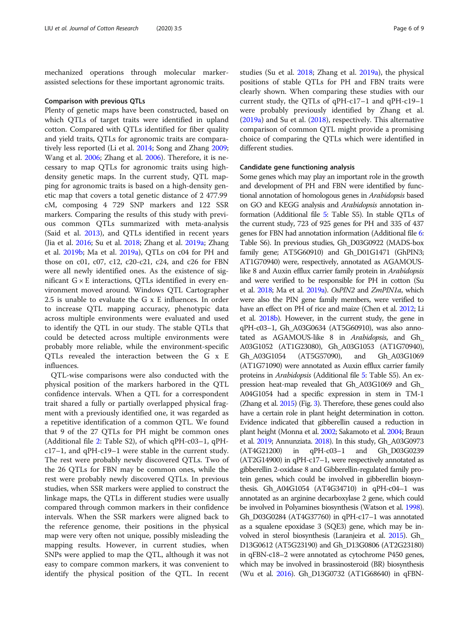mechanized operations through molecular markerassisted selections for these important agronomic traits.

#### Comparison with previous QTLs

Plenty of genetic maps have been constructed, based on which QTLs of target traits were identified in upland cotton. Compared with QTLs identified for fiber quality and yield traits, QTLs for agronomic traits are comparatively less reported (Li et al. [2014](#page-7-0); Song and Zhang [2009](#page-8-0); Wang et al. [2006](#page-8-0); Zhang et al. [2006](#page-8-0)). Therefore, it is necessary to map QTLs for agronomic traits using highdensity genetic maps. In the current study, QTL mapping for agronomic traits is based on a high-density genetic map that covers a total genetic distance of 2 477.99 cM, composing 4 729 SNP markers and 122 SSR markers. Comparing the results of this study with previous common QTLs summarized with meta-analysis (Said et al. [2013\)](#page-8-0), and QTLs identified in recent years (Jia et al. [2016;](#page-7-0) Su et al. [2018;](#page-8-0) Zhang et al. [2019a](#page-8-0); Zhang et al. [2019b](#page-8-0); Ma et al. [2019a\)](#page-8-0), QTLs on c04 for PH and those on c01, c07, c12, c20-c21, c24, and c26 for FBN were all newly identified ones. As the existence of significant  $G \times E$  interactions, QTLs identified in every environment moved around. Windows QTL Cartographer 2.5 is unable to evaluate the G x E influences. In order to increase QTL mapping accuracy, phenotypic data across multiple environments were evaluated and used to identify the QTL in our study. The stable QTLs that could be detected across multiple environments were probably more reliable, while the environment-specific QTLs revealed the interaction between the G x E influences.

QTL-wise comparisons were also conducted with the physical position of the markers harbored in the QTL confidence intervals. When a QTL for a correspondent trait shared a fully or partially overlapped physical fragment with a previously identified one, it was regarded as a repetitive identification of a common QTL. We found that 9 of the 27 QTLs for PH might be common ones (Additional file [2:](#page-7-0) Table S2), of which qPH-c03–1, qPHc17–1, and qPH-c19–1 were stable in the current study. The rest were probably newly discovered QTLs. Two of the 26 QTLs for FBN may be common ones, while the rest were probably newly discovered QTLs. In previous studies, when SSR markers were applied to construct the linkage maps, the QTLs in different studies were usually compared through common markers in their confidence intervals. When the SSR markers were aligned back to the reference genome, their positions in the physical map were very often not unique, possibly misleading the mapping results. However, in current studies, when SNPs were applied to map the QTL, although it was not easy to compare common markers, it was convenient to identify the physical position of the QTL. In recent studies (Su et al. [2018](#page-8-0); Zhang et al. [2019a\)](#page-8-0), the physical positions of stable QTLs for PH and FBN traits were clearly shown. When comparing these studies with our current study, the QTLs of qPH-c17–1 and qPH-c19–1 were probably previously identified by Zhang et al. ([2019a\)](#page-8-0) and Su et al. ([2018](#page-8-0)), respectively. This alternative comparison of common QTL might provide a promising choice of comparing the QTLs which were identified in different studies.

#### Candidate gene functioning analysis

Some genes which may play an important role in the growth and development of PH and FBN were identified by functional annotation of homologous genes in Arabidopsis based on GO and KEGG analysis and Arabidopsis annotation information (Additional file [5](#page-7-0): Table S5). In stable QTLs of the current study, 723 of 925 genes for PH and 335 of 437 genes for FBN had annotation information (Additional file [6](#page-7-0): Table S6). In previous studies, Gh\_D03G0922 (MADS-box family gene; AT5G60910) and Gh\_D01G1471 (GhPIN3; AT1G70940) were, respectively, annotated as AGAMOUSlike 8 and Auxin efflux carrier family protein in Arabidopsis and were verified to be responsible for PH in cotton (Su et al. [2018;](#page-8-0) Ma et al. [2019a](#page-8-0)). OsPIN2 and ZmPIN1a, which were also the PIN gene family members, were verified to have an effect on PH of rice and maize (Chen et al. [2012;](#page-7-0) Li et al. [2018b\)](#page-8-0). However, in the current study, the gene in qPH-c03–1, Gh\_A03G0634 (AT5G60910), was also annotated as AGAMOUS-like 8 in Arabidopsis, and Gh\_ A03G1052 (AT1G23080), Gh\_A03G1053 (AT1G70940), Gh\_A03G1054 (AT5G57090), and Gh\_A03G1069 (AT1G71090) were annotated as Auxin efflux carrier family proteins in Arabidopsis (Additional file [5:](#page-7-0) Table S5). An expression heat-map revealed that Gh\_A03G1069 and Gh\_ A04G1054 had a specific expression in stem in TM-1 (Zhang et al. [2015](#page-8-0)) (Fig. [3](#page-6-0)). Therefore, these genes could also have a certain role in plant height determination in cotton. Evidence indicated that gibberellin caused a reduction in plant height (Monna et al. [2002](#page-8-0); Sakamoto et al. [2004;](#page-8-0) Braun et al. [2019;](#page-7-0) Annunziata. [2018](#page-7-0)). In this study, Gh\_A03G0973 (AT4G21200) in qPH-c03–1 and Gh\_D03G0239 (AT2G14900) in qPH-c17–1, were respectively annotated as gibberellin 2-oxidase 8 and Gibberellin-regulated family protein genes, which could be involved in gibberellin biosynthesis. Gh\_A04G1054 (AT4G34710) in qPH-c04–1 was annotated as an arginine decarboxylase 2 gene, which could be involved in Polyamines biosynthesis (Watson et al. [1998\)](#page-8-0). Gh\_D03G0284 (AT4G37760) in qPH-c17–1 was annotated as a squalene epoxidase 3 (SQE3) gene, which may be involved in sterol biosynthesis (Laranjeira et al. [2015](#page-7-0)). Gh\_ D13G0612 (AT5G23190) and Gh\_D13G0806 (AT2G23180) in qFBN-c18–2 were annotated as cytochrome P450 genes, which may be involved in brassinosteroid (BR) biosynthesis (Wu et al. [2016\)](#page-8-0). Gh\_D13G0732 (AT1G68640) in qFBN-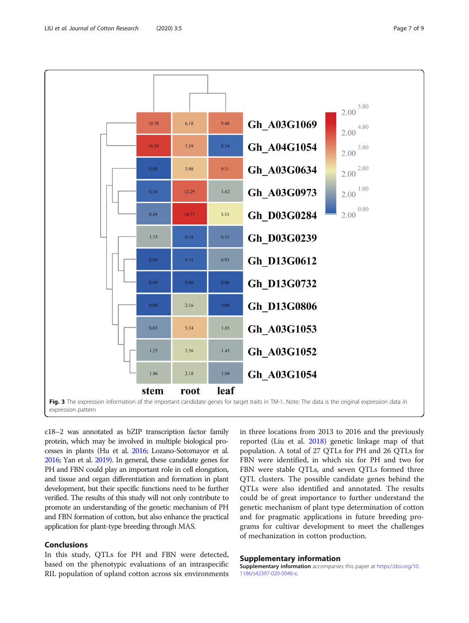<span id="page-6-0"></span>

c18–2 was annotated as bZIP transcription factor family protein, which may be involved in multiple biological processes in plants (Hu et al. [2016](#page-7-0); Lozano-Sotomayor et al. [2016](#page-8-0); Yan et al. [2019](#page-8-0)). In general, these candidate genes for PH and FBN could play an important role in cell elongation, and tissue and organ differentiation and formation in plant development, but their specific functions need to be further verified. The results of this study will not only contribute to promote an understanding of the genetic mechanism of PH and FBN formation of cotton, but also enhance the practical application for plant-type breeding through MAS.

# Conclusions

In this study, QTLs for PH and FBN were detected, based on the phenotypic evaluations of an intraspecific RIL population of upland cotton across six environments in three locations from 2013 to 2016 and the previously reported (Liu et al. [2018\)](#page-8-0) genetic linkage map of that population. A total of 27 QTLs for PH and 26 QTLs for FBN were identified, in which six for PH and two for FBN were stable QTLs, and seven QTLs formed three QTL clusters. The possible candidate genes behind the QTLs were also identified and annotated. The results could be of great importance to further understand the genetic mechanism of plant type determination of cotton and for pragmatic applications in future breeding programs for cultivar development to meet the challenges of mechanization in cotton production.

#### Supplementary information

Supplementary information accompanies this paper at [https://doi.org/10.](https://doi.org/10.1186/s42397-020-0046-x) [1186/s42397-020-0046-x](https://doi.org/10.1186/s42397-020-0046-x).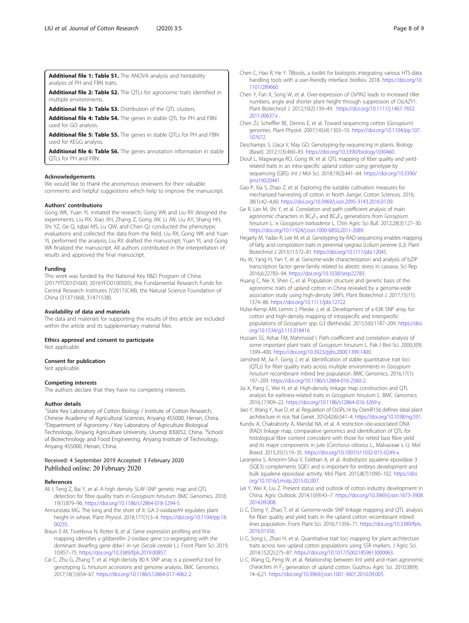<span id="page-7-0"></span>Additional file 1: Table S1. The ANOVA analysis and heritability analysis of PH and FBN traits.

Additional file 2: Table S2. The QTLs for agronomic traits identified in multiple environments.

Additional file 3: Table S3. Distribution of the QTL clusters.

Additional file 4: Table S4. The genes in stable QTL for PH and FBN used for GO analysis.

Additional file 5: Table S5. The genes in stable QTLs for PH and FBN used for KEGG analysis.

Additional file 6: Table S6. The genes annotation information in stable QTLs for PH and FBN.

#### Acknowledgements

We would like to thank the anonymous reviewers for their valuable comments and helpful suggestions which help to improve the manuscript.

#### Authors' contributions

Gong WK, Yuan YL initiated the research; Gong WK and Liu RX designed the experiments; Liu RX, Xiao XH, Zhang Z, Gong JW, Li JW, Liu AY, Shang HH, Shi YZ, Ge Q, Iqbal MS, Lu QW, and Chen QJ conducted the phenotypic evaluations and collected the data from the field; Liu RX, Gong WK and Yuan YL performed the analysis; Liu RX drafted the manuscript; Yuan YL and Gong WK finalized the manuscript. All authors contributed in the interpretation of results and approved the final manuscript.

#### Funding

This work was funded by the National Key R&D Program of China (2017YFD0101600; 2016YFD0100505), the Fundamental Research Funds for Central Research Institutes (Y2017JC48), the Natural Science Foundation of China (31371668, 31471538).

#### Availability of data and materials

The data and materials for supporting the results of this article are included within the article and its supplementary material files.

### Ethics approval and consent to participate

Not applicable.

#### Consent for publication

Not applicable.

#### Competing interests

The authors declare that they have no competing interests.

#### Author details

<sup>1</sup>State Key Laboratory of Cotton Biology / Institute of Cotton Research, Chinese Academy of Agricultural Sciences, Anyang 455000, Henan, China. 2 Department of Agronomy / Key Laboratory of Agriculture Biological Technology, Xinjiang Agriculture University, Urumqi 830052, China. <sup>3</sup>School of Biotechnology and Food Engineering, Anyang Institute of Technology, Anyang 455000, Henan, China.

#### Received: 4 September 2019 Accepted: 3 February 2020 Published online: 20 February 2020

#### References

- Ali I, Teng Z, Bai Y, et al. A high density SLAF-SNP genetic map and QTL detection for fibre quality traits in Gossypium hirsutum. BMC Genomics. 2018; 19(1):879–96. <https://doi.org/10.1186/s12864-018-5294-5>.
- Annunziata MG. The long and the short of it: GA 2-oxidaseA9 regulates plant height in wheat. Plant Physiol. 2018;177(1):3–4. [https://doi.org/10.1104/pp.18.](https://doi.org/10.1104/pp.18.00235) [00235.](https://doi.org/10.1104/pp.18.00235)
- Braun E-M, Tsvetkova N, Rotter B, et al. Gene expression profiling and fine mapping identifies a gibberellin 2-oxidase gene co-segregating with the dominant dwarfing gene ddw1 in rye (Secale cereale L.). Front Plant Sci. 2019; 10:857–75. [https://doi.org/10.3389/fpls.2019.00857.](https://doi.org/10.3389/fpls.2019.00857)
- Cai C, Zhu G, Zhang T, et al. High-density 80 K SNP array is a powerful tool for genotyping G. hirsutum accessions and genome analysis. BMC Genomics. 2017;18(1):654–67. <https://doi.org/10.1186/s12864-017-4062-2>.
- Chen C, Hao R, He Y. TBtools, a toolkit for biologists integrating various HTS-data handling tools with a user-friendly interface. bioRxiv. 2018. [https://doi.org/10.](https://doi.org/10.1101/289660) [1101/289660](https://doi.org/10.1101/289660).
- Chen Y, Fan X, Song W, et al. Over-expression of OsPIN2 leads to increased tiller numbers, angle and shorter plant height through suppression of OsLAZY1. Plant Biotechnol J. 2012;10(2):139–49. [https://doi.org/10.1111/j.1467-7652.](https://doi.org/10.1111/j.1467-7652.2011.00637.x) [2011.00637.x](https://doi.org/10.1111/j.1467-7652.2011.00637.x) .
- Chen ZJ, Scheffler BE, Dennis E, et al. Toward sequencing cotton (Gossypium) genomes. Plant Physiol. 2007;145(4):1303–10. [https://doi.org/10.1104/pp.107.](https://doi.org/10.1104/pp.107.107672) [107672](https://doi.org/10.1104/pp.107.107672).
- Deschamps S, Llaca V, May GD. Genotyping-by-sequencing in plants. Biology (Basel). 2012;1(3):460–83. [https://doi.org/10.3390/biology1030460.](https://doi.org/10.3390/biology1030460)
- Diouf L, Magwanga RO, Gong W, et al. QTL mapping of fiber quality and yieldrelated traits in an intra-specific upland cotton using genotype by sequencing (GBS). Int J Mol Sci. 2018;19(2):441–64. [https://doi.org/10.3390/](https://doi.org/10.3390/ijms19020441) [ijms19020441](https://doi.org/10.3390/ijms19020441).
- Gao P, Xia S, Zhao Z, et al. Exploring the suitable cultivation measures for mechanized harvesting of cotton in North Jiangxi. Cotton Sciences. 2016; 38(1):42–4,60. [https://doi.org/10.3969/j.issn.2095-3143.2016.01.09.](https://doi.org/10.3969/j.issn.2095-3143.2016.01.09)
- Ge R, Lan M, Shi Y, et al. Correlation and path coefficient analysis of main agronomic characters in  $BC_4F_3$  and  $BC_4F_4$  generations from Gossypium hirsutum L. × Gossypium barbadense L. Chin Agric Sci Bull. 2012;28(3):127–30. [https://doi.org/10.11924/j.issn.1000-6850.2011-2089.](https://doi.org/10.11924/j.issn.1000-6850.2011-2089)
- Hegarty M, Yadav R, Lee M, et al. Genotyping by RAD sequencing enables mapping of fatty acid composition traits in perennial ryegrass (Lolium perenne (L.)). Plant Biotechnol J. 2013;11:572–81. <https://doi.org/10.1111/pbi.12045>.
- Hu W, Yang H, Yan Y, et al. Genome-wide characterization and analysis of bZIP transcription factor gene family related to abiotic stress in cassava. Sci Rep. 2016;6:22783–94. <https://doi.org/10.1038/srep22783>.
- Huang C, Nie X, Shen C, et al. Population structure and genetic basis of the agronomic traits of upland cotton in China revealed by a genome-wide association study using high-density SNPs. Plant Biotechnol J. 2017;15(11): 1374–86. [https://doi.org/10.1111/pbi.12722.](https://doi.org/10.1111/pbi.12722)
- Hulse-Kemp AM, Lemm J, Plieske J, et al. Development of a 63K SNP array for cotton and high-density mapping of intraspecific and interspecific populations of Gossypium spp. G3 (Bethesda). 2015;5(6):1187–209. [https://doi.](https://doi.org/10.1534/g3.115.018416) [org/10.1534/g3.115.018416](https://doi.org/10.1534/g3.115.018416).
- Hussain SS, Azhar FM, Mahmood I. Path coefficient and correlation analysis of some important plant traits of Gossypium hirsutum L. Pak J Biol Sci. 2000;3(9): 1399–400. <https://doi.org/10.3923/pjbs.2000.1399.1400>.
- Jamshed M, Jia F, Gong J, et al. Identification of stable quantitative trait loci (QTLs) for fiber quality traits across multiple environments in Gossypium hirsutum recombinant inbred line population. BMC Genomics. 2016;17(1): 197–209. <https://doi.org/10.1186/s12864-016-2560-2>.
- Jia X, Pang C, Wei H, et al. High-density linkage map construction and QTL analysis for earliness-related traits in Gossypium hirsutum L. BMC Genomics. 2016;17:909–22. [https://doi.org/10.1186/s12864-016-3269-y.](https://doi.org/10.1186/s12864-016-3269-y)
- Jiao Y, Wang Y, Xue D, et al. Regulation of OsSPL14 by OsmiR156 defines ideal plant architecture in rice. Nat Genet. 2010;42(6):541–4. [https://doi.org/10.1038/ng.591.](https://doi.org/10.1038/ng.591)
- Kundu A, Chakraborty A, Mandal NA, et al. A restriction-site-associated DNA (RAD) linkage map, comparative genomics and identification of QTL for histological fibre content coincident with those for retted bast fibre yield and its major components in jute (Corchorus olitorius L., Malvaceae s. l.). Mol Breed. 2015;35(1):19–35. [https://doi.org/10.1007/s11032-015-0249-x.](https://doi.org/10.1007/s11032-015-0249-x)
- Laranjeira S, Amorim-Silva V, Esteban A, et al. Arabidopsis squalene epoxidase 3 (SQE3) complements SQE1 and is important for embryo development and bulk squalene epoxidase activity. Mol Plant. 2015;8(7):1090–102. [https://doi.](https://doi.org/10.1016/j.molp.2015.02.007) [org/10.1016/j.molp.2015.02.007.](https://doi.org/10.1016/j.molp.2015.02.007)
- Lei Y, Wei X, Liu Z. Present status and outlook of cotton industry development in China. Agric Outlook. 2014;10(9):43–7. [https://doi.org/10.3969/j.issn.1673-3908.](https://doi.org/10.3969/j.issn.1673-3908.2014.09.008) [2014.09.008.](https://doi.org/10.3969/j.issn.1673-3908.2014.09.008)
- Li C, Dong Y, Zhao T, et al. Genome-wide SNP linkage mapping and QTL analysis for fiber quality and yield traits in the upland cotton recombinant inbred lines population. Front Plant Sci. 2016;7:1356–71. [https://doi.org/10.3389/fpls.](https://doi.org/10.3389/fpls.2016.01356) [2016.01356.](https://doi.org/10.3389/fpls.2016.01356)
- Li C, Song L, Zhao H, et al. Quantitative trait loci mapping for plant architecture traits across two upland cotton populations using SSR markers. J Agric Sci. 2014;152(2):275–87. <https://doi.org/10.1017/S0021859613000063>.
- Li C, Wang Q, Peng W, et al. Relationship between lint yield and main agronomic characters in  $F_2$  generation of upland cotton. Guizhou Agric Sci. 2010;38(9): 14–6,21. <https://doi.org/10.3969/j.issn.1001-3601.2010.09.005>.